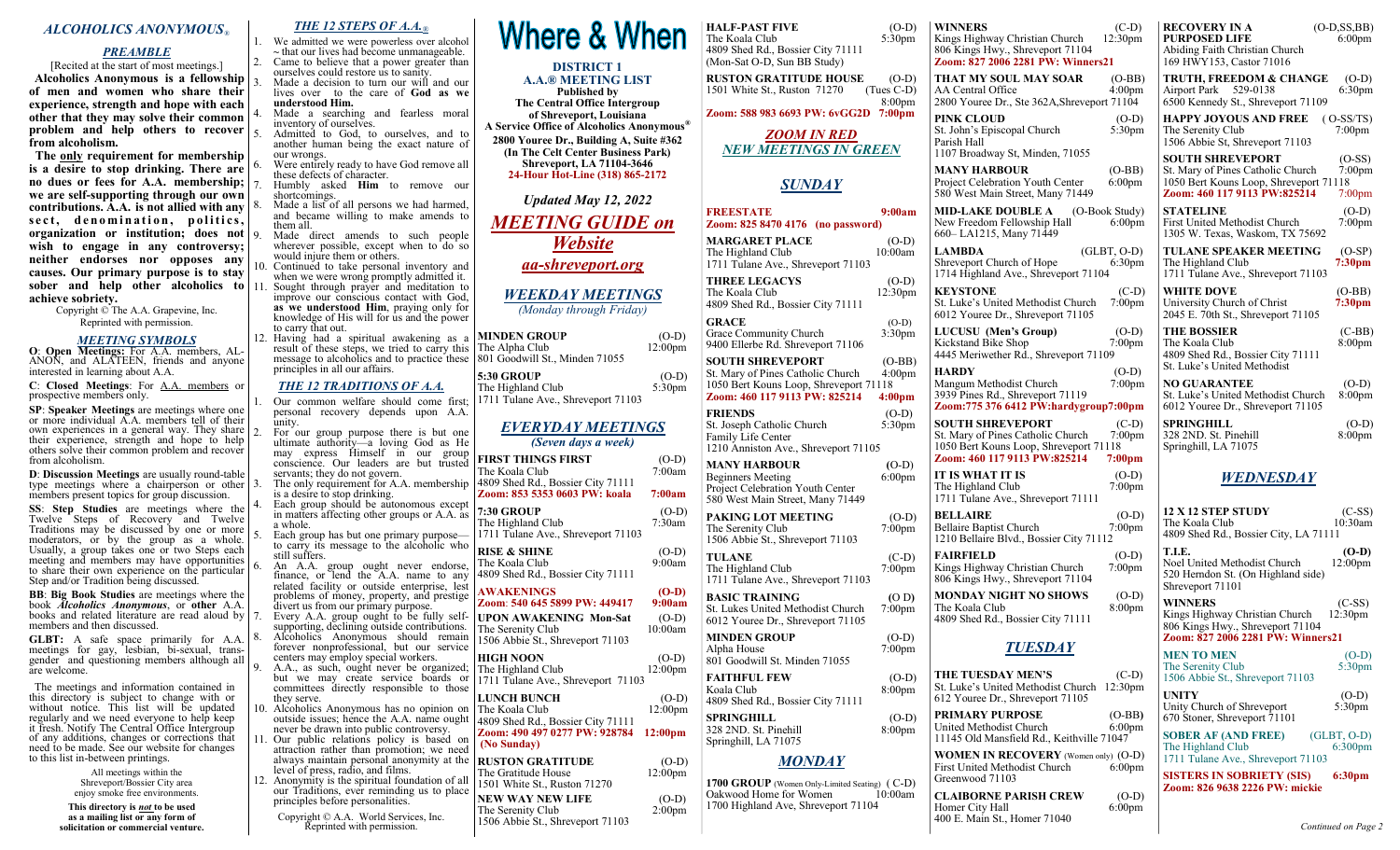### *ALCOHOLICS ANONYMOUS®*

### *PREAMBLE*

[Recited at the start of most meetings.] **Alcoholics Anonymous is a fellowship of men and women who share their experience, strength and hope with each other that they may solve their common problem and help others to recover from alcoholism.**

 **The only requirement for membership is a desire to stop drinking. There are no dues or fees for A.A. membership; we are self-supporting through our own contributions. A.A. is not allied with any**  sect, denomination, politics, **organization or institution; does not wish to engage in any controversy; neither endorses nor opposes any causes. Our primary purpose is to stay sober and help other alcoholics to achieve sobriety.**

> Copyright © The A.A. Grapevine, Inc. Reprinted with permission.

### *MEETING SYMBOLS*

**O**: **Open Meetings:** For A.A. members, AL-ANON, and ALATEEN, friends and anyone interested in learning about A.A.

**C**: **Closed Meetings**: For A.A. members or prospective members only.

**SP**: **Speaker Meetings** are meetings where one or more individual A.A. members tell of their own experiences in a general way. They share their experience, strength and hope to help others solve their common problem and recover from alcoholism.

**D**: **Discussion Meetings** are usually round-table type meetings where a chairperson or other members present topics for group discussion.

**SS**: **Step Studies** are meetings where the Twelve Steps of Recovery and Twelve Traditions may be discussed by one or more moderators, or by the group as a whole. Usually, a group takes one or two Steps each meeting and members may have opportunities to share their own experience on the particular Step and/or Tradition being discussed.

**BB**: **Big Book Studies** are meetings where the book *Alcoholics Anonymous*, or **other** A.A. books and related literature are read aloud by  $|7|$ members and then discussed.

**GLBT:** A safe space primarily for A.A. meetings for gay, lesbian, bi-sexual, transgender and questioning members although all are welcome.

 The meetings and information contained in this directory is subject to change with or without notice. This list will be updated regularly and we need everyone to help keep it fresh. Notify The Central Office Intergroup of any additions, changes or corrections that need to be made. See our website for changes to this list in-between printings.

> All meetings within the Shreveport/Bossier City area enjoy smoke free environments.

**This directory is** *not* **to be used as a mailing list or any form of solicitation or commercial venture.** *THE 12 STEPS OF A.A.®*

1. We admitted we were powerless over alcohol **~** that our lives had become unmanageable. 2. Came to believe that a power greater than ourselves could restore us to sanity. Made a decision to turn our will and our lives over to the care of **God as we understood Him.**

Made a searching and fearless moral inventory of ourselves.

5. Admitted to God, to ourselves, and to another human being the exact nature of our wrongs.

Were entirely ready to have God remove all these defects of character.

7. Humbly asked **Him** to remove our shortcomings.

- Made a list of all persons we had harmed, and became willing to make amends to them all. Made direct amends to such people
- wherever possible, except when to  $d\sigma$  so would injure them or others.
- 10. Continued to take personal inventory and when we were wrong promptly admitted it.<br>11. Sought through prayer and meditation to
	- improve our conscious contact with God, as we understood Him, praying only for knowledge of His will for us and the power to carry that out.

12. Having had a spiritual awakening as a result of these steps, we tried to carry this Tl message to alcoholics and to practice these 80 principles in all our affairs.

### *THE 12 TRADITIONS OF A.A.*

Our common welfare should come first; personal recovery depends upon A.A. unity.

For our group purpose there is but one ultimate authority—a loving God as He may express Himself in our group conscience. Our leaders are but trusted servants; they do not govern. The only requirement for A.A. membership is a desire to stop drinking. Each group should be autonomous except in matters affecting other groups or A.A. as a whole. Each group has but one primary purpose to carry its message to the alcoholic who still suffers. 6. An A.A. group ought never endorse, finance, or lend the A.A. name to any related facility or outside enterprise, lest problems of money, property, and prestige divert us from our primary purpose. Every A.A. group ought to be fully selfsupporting, declining outside contributions. Alcoholics Anonymous should remain forever nonprofessional, but our service centers may employ special workers. A.A., as such, ought never be organized; but we may create service boards or committees directly responsible to those they serve. 10. Alcoholics Anonymous has no opinion on outside issues; hence the A.A. name ought never be drawn into public controversy. 11. Our public relations policy is based on attraction rather than promotion; we need always maintain personal anonymity at the

level of press, radio, and films. 12. Anonymity is the spiritual foundation of all our Traditions, ever reminding us to place

- principles before personalities. Copyright © A.A. World Services, Inc.
	- Reprinted with permission.

# Where & When

#### **DISTRICT 1 A.A.® MEETING LIST**

**Published by The Central Office Intergroup of Shreveport, Louisiana A Service Office of Alcoholics Anonymous® 2800 Youree Dr., Building A, Suite #362 (In The Celt Center Business Park) Shreveport, LA 71104-3646 24-Hour Hot-Line (318) 865-2172**

*Updated May 12, 2022*

# *MEETING GUIDE on Website*

*aa-shreveport.org*

### *WEEKDAY MEETINGS*

*(Monday through Friday)*

| MINDEN GROUP                   | $(O-D)$    |
|--------------------------------|------------|
| The Alpha Club                 | $12:00$ pm |
| 801 Goodwill St., Minden 71055 |            |

| 5:30 GROUP                         | $(O-D)$   |
|------------------------------------|-----------|
| The Highland Club                  | $5:30$ pm |
| 1711 Tulane Ave., Shreveport 71103 |           |

### *EVERYDAY MEETINGS (Seven days a week)*

| <b>FIRST THINGS FIRST</b><br>The Koala Club<br>4809 Shed Rd., Bossier City 71111       | $(O-D)$<br>7:00am              |
|----------------------------------------------------------------------------------------|--------------------------------|
| Zoom: 853 5353 0603 PW: koala                                                          | 7:00am                         |
| 7:30 GROUP<br>The Highland Club<br>1711 Tulane Ave., Shreveport 71103                  | $(O-D)$<br>7:30am              |
| <b>RISE &amp; SHINE</b><br>The Koala Club<br>4809 Shed Rd., Bossier City 71111         | $(O-D)$<br>9:00am              |
| <b>AWAKENINGS</b><br>Zoom: 540 645 5899 PW: 449417                                     | $(O-D)$<br>9:00am              |
| <b>UPON AWAKENING Mon-Sat</b><br>The Serenity Club<br>1506 Abbie St., Shreveport 71103 | $(O-D)$<br>10:00am             |
| <b>HIGH NOON</b><br>The Highland Club<br>1711 Tulane Ave., Shreveport 71103            | $(O-D)$<br>12:00 <sub>pm</sub> |
| <b>LUNCH BUNCH</b><br>The Koala Club<br>4809 Shed Rd., Bossier City 71111              | $(O-D)$<br>12:00 <sub>pm</sub> |
| Zoom: 490 497 0277 PW: 928784<br>(No Sunday)                                           | 12:00 <sub>pm</sub>            |
| <b>RUSTON GRATITUDE</b><br>The Gratitude House<br>1501 White St., Ruston 71270         | $(O-D)$<br>12:00 <sub>pm</sub> |
| <b>NEW WAY NEW LIFE</b><br>The Serenity Club<br>1506 Abbie St., Shreveport 71103       | $(O-D)$<br>2:00 <sub>pm</sub>  |
|                                                                                        |                                |

| <b>HALF-PAST FIVE</b><br>$(O-D)$<br>The Koala Club<br>5:30pm<br>4809 Shed Rd., Bossier City 71111<br>(Mon-Sat O-D, Sun BB Study)                                                                | <b>WINNE</b><br>Kings Hi<br>806 King<br>Zoom: 8        |
|-------------------------------------------------------------------------------------------------------------------------------------------------------------------------------------------------|--------------------------------------------------------|
| <b>RUSTON GRATITUDE HOUSE</b><br>$(O-D)$<br>1501 White St., Ruston 71270<br>(Tues C-D)<br>8:00 <sub>pm</sub>                                                                                    | <b>THAT N</b><br>AA Cent<br>2800 Yo                    |
| Zoom: 588 983 6693 PW: 6vGG2D<br>7:00 <sub>pm</sub>                                                                                                                                             | PINK CI                                                |
| <i>ZOOM IN RED</i><br><b>NEW MEETINGS IN GREEN</b>                                                                                                                                              | St. John'<br>Parish Ha<br>1107 Brc                     |
| <b>SUNDAY</b>                                                                                                                                                                                   | <b>MANY</b> I<br>Project C<br>580 West                 |
| <b>FREESTATE</b><br>9:00am<br>Zoom: 825 8470 4176 (no password)                                                                                                                                 | MID-LA<br>New Free<br>660– LA                          |
| <b>MARGARET PLACE</b><br>$(O-D)$<br>10:00am<br>The Highland Club<br>1711 Tulane Ave., Shreveport 71103                                                                                          | <b>LAMBD</b><br>Shrevepc                               |
| <b>THREE LEGACYS</b><br>$(O-D)$<br>The Koala Club<br>12:30 <sub>pm</sub><br>4809 Shed Rd., Bossier City 71111                                                                                   | 1714 Hig<br><b>KEYST</b><br>St. Luke'<br>6012 Yo       |
| <b>GRACE</b><br>$(O-D)$<br>Grace Community Church<br>3:30pm<br>9400 Ellerbe Rd. Shreveport 71106                                                                                                | LUCUSI<br>Kickstan<br>4445 Me                          |
| <b>SOUTH SHREVEPORT</b><br>$(O-BB)$<br>St. Mary of Pines Catholic Church<br>4:00 <sub>pm</sub><br>1050 Bert Kouns Loop, Shreveport 71118<br>Zoom: 460 117 9113 PW: 825214<br>4:00 <sub>pm</sub> | <b>HARDY</b><br>Mangum<br>3939 Pin                     |
| <b>FRIENDS</b><br>$(O-D)$<br>St. Joseph Catholic Church<br>5:30 <sub>pm</sub><br>Family Life Center<br>1210 Anniston Ave., Shreveport 71105                                                     | <b>Zoom:77</b><br><b>SOUTH</b><br>St. Mary<br>1050 Ber |
| <b>MANY HARBOUR</b><br>$(O-D)$<br>6:00pm<br><b>Beginners Meeting</b><br>Project Celebration Youth Center<br>580 West Main Street, Many 71449                                                    | Zoom: 4<br>IT IS W<br>The High<br>1711 Tul             |
| <b>PAKING LOT MEETING</b><br>$(O-D)$<br>The Serenity Club<br>$7:00$ pm<br>1506 Abbie St., Shreveport 71103                                                                                      | <b>BELLA</b><br>Bellaire l<br>1210 Bel                 |
| <b>TULANE</b><br>$(C-D)$<br>7:00pm<br>The Highland Club<br>1711 Tulane Ave., Shreveport 71103                                                                                                   | FAIRFI<br>Kings Hi<br>806 King                         |
| <b>BASIC TRAINING</b><br>(O D)<br>St. Lukes United Methodist Church<br>7:00pm<br>6012 Youree Dr., Shreveport 71105                                                                              | <b>MONDA</b><br>The Koal<br>4809 She                   |
| <b>MINDEN GROUP</b><br>$(O-D)$<br>7:00 <sub>pm</sub><br>Alpha House<br>801 Goodwill St. Minden 71055                                                                                            |                                                        |
| <b>FAITHFUL FEW</b><br>$(O-D)$<br>Koala Club<br>8:00pm<br>4809 Shed Rd., Bossier City 71111                                                                                                     | THE TU<br>St. Luke'<br>612 Your                        |
| <b>SPRINGHILL</b><br>$(O-D)$<br>328 2ND. St. Pinehill<br>8:00pm<br>Springhill, LA 71075                                                                                                         | PRIMAI<br>United M<br>11145 Ol                         |
| <b>MONDAY</b>                                                                                                                                                                                   | WOMEI<br>First Uni                                     |
| 1700 GROUP (Women Only-Limited Seating) (C-D)                                                                                                                                                   | Greenwo                                                |
| Oakwood Home for Women<br>10:00am<br>1700 Highland Ave, Shreveport 71104                                                                                                                        | <b>CLAIBC</b><br>Homer C                               |

**WINNERS** (C-D) ghway Christian Church 12:30pm gs Hwy., Shreveport 71104 **Zoom: 827 2006 2281 PW: Winners21 THE SOUL MAY SOAR** (O-BB)<br>
Tral Office 4:00pm ral Office

uree Dr., Ste  $362A$ ,Shreveport  $71104$ **LOUD** (O-D)<br> **P**S Episcopal Church 5:30pm

s Episcopal Church a<sub>11</sub> adway St, Minden, 71055

**MANY HARBOUR** (O-BB) Project Center 6:00pm t Main Street, Many 71449

**KE DOUBLE A** (O-Book Study)<br>edom Fellowship Hall 6:00pm edom Fellowship Hall 1215, Many 71449 **LA** (GLBT, O-D)

ort Church of Hope 6:30pm 1714 Highland Ave., Shreveport 71104

**CONE** (C-D) 's United Methodist Church 7:00pm uree Dr., Shreveport 71105

**LU (Men's Group)** (O-D)<br>d Bike Shop 7:00pm d Bike Shop riwether Rd., Shreveport 71109

(O-D)<br>7:00pm Methodist Church es Rd., Shreveport 71119 **Zoom:775 376 6412 PW:hardygroup7:00pm**

**SHREVEPORT** (C-D) of Pines Catholic Church 7:00pm t Kouns Loop, Shreveport 71118 **Zoom: 460 117 9113 PW:825214 7:00pm**

**IFAT IT IS** (O-D)<br>hland Club 7:00pm hland Club lane Ave., Shreveport 71111

**BELLAIRE** (O-D) Baptist Church **7:00pm** laire Blvd., Bossier City 71112

**FLD** (O-D) ghway Christian Church 7:00pm gs Hwy., Shreveport 71104

**MONDAY NIGHT NO SHOWS** (O-D) la Club 8:00pm ed Rd., Bossier City 71111

### *TUESDAY*

| THE TUESDAY MEN'S<br>St. Luke's United Methodist Church<br>612 Youree Dr., Shreveport 71105     | $(C-D)$<br>$12:30$ pm |
|-------------------------------------------------------------------------------------------------|-----------------------|
| <b>PRIMARY PURPOSE</b><br>United Methodist Church<br>11145 Old Mansfield Rd., Keithville 71047  | $(O-BB)$<br>$6:00$ pm |
| <b>WOMEN IN RECOVERY</b> (Women only) (O-D)<br>First United Methodist Church<br>Greenwood 71103 | $6:00$ pm             |

**CORNE PARISH CREW** (O-D)<br>City Hall 6:00pm 400 E. Main St., Homer 71040

 $6:00$ pm

**RECOVERY IN A** (O-D,SS,BB) **PURPOSED LIFE** 6:00pm Abiding Faith Christian Church 169 HWY153, Castor 71016

**TRUTH, FREEDOM & CHANGE** (O-D)<br>Airport Park 529-0138 6:30pm Airport Park 529-0138 6500 Kennedy St., Shreveport 71109

**HAPPY JOYOUS AND FREE** (O-SS/TS)<br>The Serenity Club 7:00pm The Serenity Club 1506 Abbie St, Shreveport 71103

**SOUTH SHREVEPORT** (O-SS)<br>St. Mary of Pines Catholic Church 7:00pm St. Mary of Pines Catholic Church 1050 Bert Kouns Loop, Shreveport 71118 **Zoom: 460 117 9113 PW:825214** 7:00pm

**STATELINE** (O-D)<br>First United Methodist Church 7:00pm First United Methodist Church 1305 W. Texas, Waskom, TX 75692

**TULANE SPEAKER MEETING** (O-SP) The Highland Club **7:30pm** 1711 Tulane Ave., Shreveport 71103

**WHITE DOVE** (O-BB) University Church of Christ **7:30pm** 2045 E. 70th St., Shreveport 71105

**THE BOSSIER** (C-BB)<br>The Koala Club 8:00pm The Koala Club 4809 Shed Rd., Bossier City 71111 St. Luke's United Methodist

**NO GUARANTEE** (O-D) St. Luke's United Methodist Church 8:00pm 6012 Youree Dr., Shreveport 71105

**SPRINGHILL** (O-D) 328 2ND. St. Pinehill 8:00pm Springhill, LA 71075

### *WEDNESDAY*

**12 X 12 STEP STUDY** (C-SS) The Koala Club 10:30am 4809 Shed Rd., Bossier City, LA 71111 **T.I.E.** (O-D)<br>Noel United Methodist Church 12:00pm Noel United Methodist Church 520 Herndon St. (On Highland side) Shreveport 71101 **WINNERS** (C-SS) Kings Highway Christian Church 806 Kings Hwy., Shreveport 71104 **Zoom: 827 2006 2281 PW: Winners21 MEN TO MEN** (O-D) The Serenity Club 5:30pm 1506 Abbie St., Shreveport 71103 **UNITY** (O-D)<br>Unity Church of Shreveport 5:30pm Unity Church of Shreveport

670 Stoner, Shreveport 71101 **SOBER AF (AND FREE)** (GLBT, O-D)

The Highland Club 6:300pm 1711 Tulane Ave., Shreveport 71103

**SISTERS IN SOBRIETY (SIS) 6:30pm Zoom: 826 9638 2226 PW: mickie**